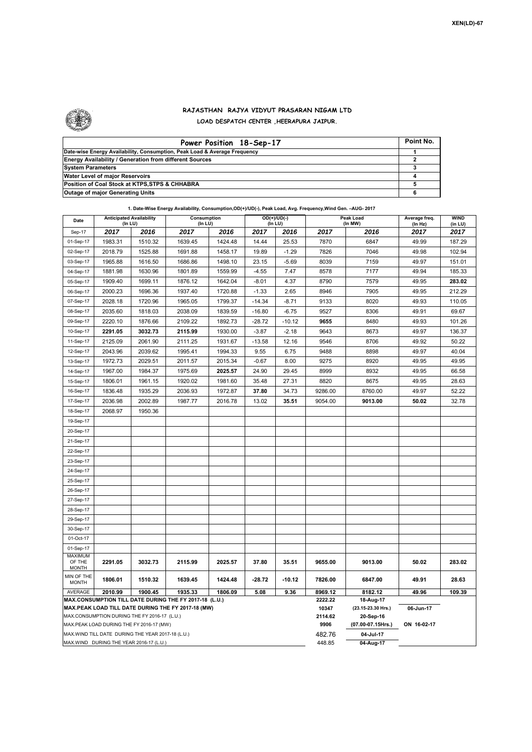

## **RAJASTHAN RAJYA VIDYUT PRASARAN NIGAM LTD LOAD DESPATCH CENTER ,HEERAPURA JAIPUR.**

| Power Position 18-Sep-17                                                  | Point No. |
|---------------------------------------------------------------------------|-----------|
| Date-wise Energy Availability, Consumption, Peak Load & Average Frequency |           |
| <b>Energy Availability / Generation from different Sources</b>            |           |
| <b>System Parameters</b>                                                  |           |
| Water Level of major Reservoirs                                           |           |
| Position of Coal Stock at KTPS, STPS & CHHABRA                            |           |
| <b>Outage of major Generating Units</b>                                   |           |

| 1. Date-Wise Energy Availability, Consumption, OD(+)/UD(-), Peak Load, Avg. Frequency, Wind Gen. - AUG- 2017 |                                                   |                                            |                                                        |                        |                                 |                          |                 |                      |                          |                        |  |  |
|--------------------------------------------------------------------------------------------------------------|---------------------------------------------------|--------------------------------------------|--------------------------------------------------------|------------------------|---------------------------------|--------------------------|-----------------|----------------------|--------------------------|------------------------|--|--|
| Date                                                                                                         |                                                   | <b>Anticipated Availability</b><br>(In LU) |                                                        | Consumption<br>(In LU) |                                 | $OD(+)/UD(-)$<br>(In LU) |                 | Peak Load<br>(In MW) | Average freq.<br>(In Hz) | <b>WIND</b><br>(in LU) |  |  |
| Sep-17                                                                                                       | 2017                                              | 2016                                       | 2017                                                   | 2016                   | 2017<br>2016<br>2017            |                          |                 | 2016                 | 2017                     | 2017                   |  |  |
| 01-Sep-17                                                                                                    | 1983.31                                           | 1510.32                                    | 1639.45                                                | 1424.48                | 14.44                           | 25.53                    | 7870            | 6847                 | 49.99                    | 187.29                 |  |  |
| 02-Sep-17                                                                                                    | 2018.79                                           | 1525.88                                    | 1691.88                                                | 1458.17                | 19.89                           | $-1.29$                  | 7826            | 7046                 | 49.98                    | 102.94                 |  |  |
| 03-Sep-17                                                                                                    | 1965.88                                           | 1616.50                                    | 1686.86                                                | 1498.10                | 23.15                           | $-5.69$                  | 8039            | 7159                 | 49.97                    | 151.01                 |  |  |
| 04-Sep-17                                                                                                    | 1881.98                                           | 1630.96                                    | 1801.89                                                | 1559.99                | $-4.55$                         | 7.47                     | 8578            | 7177                 | 49.94                    | 185.33                 |  |  |
| 05-Sep-17                                                                                                    | 1909.40                                           | 1699.11                                    | 1876.12                                                | 1642.04                | $-8.01$                         | 4.37                     | 8790            | 7579                 | 49.95                    | 283.02                 |  |  |
| 06-Sep-17                                                                                                    | 2000.23                                           | 1696.36                                    | 1937.40                                                | 1720.88                | $-1.33$                         | 2.65                     | 8946            | 7905                 | 49.95                    | 212.29                 |  |  |
| 07-Sep-17                                                                                                    | 2028.18                                           | 1720.96                                    | 1965.05                                                | 1799.37                | $-14.34$                        | $-8.71$                  | 9133            | 8020                 | 49.93                    | 110.05                 |  |  |
| 08-Sep-17                                                                                                    | 2035.60                                           | 1818.03                                    | 2038.09                                                | 1839.59                | $-16.80$                        | $-6.75$                  | 9527            | 8306                 | 49.91                    | 69.67                  |  |  |
| 09-Sep-17                                                                                                    | 2220.10                                           | 1876.66                                    | 2109.22                                                | 1892.73                | $-28.72$                        | $-10.12$                 | 9655            | 8480                 | 49.93                    | 101.26                 |  |  |
| 10-Sep-17                                                                                                    | 2291.05                                           | 3032.73                                    | 2115.99                                                | 1930.00                | $-3.87$                         | $-2.18$                  | 9643            | 8673                 | 49.97                    | 136.37                 |  |  |
| 11-Sep-17                                                                                                    | 2125.09                                           | 2061.90                                    | 2111.25                                                | 1931.67                | $-13.58$                        | 12.16                    | 9546            | 8706                 | 49.92                    | 50.22                  |  |  |
| 12-Sep-17                                                                                                    | 2043.96                                           | 2039.62                                    | 1995.41                                                | 1994.33                | 9.55                            | 6.75                     | 9488            | 8898                 | 49.97                    | 40.04                  |  |  |
| 13-Sep-17                                                                                                    | 1972.73                                           | 2029.51                                    | 2011.57                                                | 2015.34                | $-0.67$                         | 8.00                     | 9275            | 8920                 | 49.95                    | 49.95                  |  |  |
| 14-Sep-17                                                                                                    | 1967.00                                           | 1984.37                                    | 1975.69                                                | 2025.57                | 24.90                           | 29.45                    | 8999            | 8932                 | 49.95                    | 66.58                  |  |  |
| 15-Sep-17                                                                                                    | 1806.01                                           | 1961.15                                    | 1920.02                                                | 1981.60                | 35.48                           | 27.31                    | 8820            | 8675                 | 49.95                    | 28.63                  |  |  |
| 16-Sep-17                                                                                                    | 1836.48                                           | 1935.29                                    | 2036.93                                                | 1972.87                | 37.80                           | 34.73                    | 9286.00         | 8760.00              | 49.97                    | 52.22                  |  |  |
| 17-Sep-17                                                                                                    | 2036.98                                           | 2002.89                                    | 1987.77                                                | 2016.78                | 13.02                           | 35.51                    | 9054.00         | 9013.00              | 50.02                    | 32.78                  |  |  |
| 18-Sep-17                                                                                                    | 2068.97                                           | 1950.36                                    |                                                        |                        |                                 |                          |                 |                      |                          |                        |  |  |
| 19-Sep-17                                                                                                    |                                                   |                                            |                                                        |                        |                                 |                          |                 |                      |                          |                        |  |  |
| 20-Sep-17                                                                                                    |                                                   |                                            |                                                        |                        |                                 |                          |                 |                      |                          |                        |  |  |
| 21-Sep-17                                                                                                    |                                                   |                                            |                                                        |                        |                                 |                          |                 |                      |                          |                        |  |  |
| 22-Sep-17                                                                                                    |                                                   |                                            |                                                        |                        |                                 |                          |                 |                      |                          |                        |  |  |
| 23-Sep-17                                                                                                    |                                                   |                                            |                                                        |                        |                                 |                          |                 |                      |                          |                        |  |  |
| 24-Sep-17                                                                                                    |                                                   |                                            |                                                        |                        |                                 |                          |                 |                      |                          |                        |  |  |
| 25-Sep-17                                                                                                    |                                                   |                                            |                                                        |                        |                                 |                          |                 |                      |                          |                        |  |  |
| 26-Sep-17                                                                                                    |                                                   |                                            |                                                        |                        |                                 |                          |                 |                      |                          |                        |  |  |
| 27-Sep-17                                                                                                    |                                                   |                                            |                                                        |                        |                                 |                          |                 |                      |                          |                        |  |  |
| 28-Sep-17                                                                                                    |                                                   |                                            |                                                        |                        |                                 |                          |                 |                      |                          |                        |  |  |
| 29-Sep-17                                                                                                    |                                                   |                                            |                                                        |                        |                                 |                          |                 |                      |                          |                        |  |  |
| 30-Sep-17                                                                                                    |                                                   |                                            |                                                        |                        |                                 |                          |                 |                      |                          |                        |  |  |
| 01-Oct-17                                                                                                    |                                                   |                                            |                                                        |                        |                                 |                          |                 |                      |                          |                        |  |  |
| 01-Sep-17                                                                                                    |                                                   |                                            |                                                        |                        |                                 |                          |                 |                      |                          |                        |  |  |
| <b>MAXIMUM</b><br>OF THE<br><b>MONTH</b>                                                                     | 2291.05                                           | 3032.73                                    | 2115.99                                                | 2025.57                | 37.80                           | 35.51                    | 9655.00         | 9013.00              | 50.02                    | 283.02                 |  |  |
| MIN OF THE<br><b>MONTH</b>                                                                                   | 1806.01                                           | 1510.32                                    | 1639.45                                                | 1424.48                | $-28.72$                        | $-10.12$                 | 7826.00         | 6847.00              | 49.91                    | 28.63                  |  |  |
| AVERAGE                                                                                                      | 2010.99                                           | 1900.45                                    | 1935.33                                                | 1806.09                | 5.08                            | 9.36                     | 8969.12         | 8182.12              | 49.96                    | 109.39                 |  |  |
|                                                                                                              |                                                   |                                            | MAX.CONSUMPTION TILL DATE DURING THE FY 2017-18 (L.U.) | 2222.22<br>10347       | 18-Aug-17<br>(23.15-23.30 Hrs.) | 06-Jun-17                |                 |                      |                          |                        |  |  |
| MAX.PEAK LOAD TILL DATE DURING THE FY 2017-18 (MW)<br>MAX.CONSUMPTION DURING THE FY 2016-17 (L.U.)           |                                                   |                                            |                                                        |                        |                                 |                          |                 | 20-Sep-16            |                          |                        |  |  |
|                                                                                                              | MAX.PEAK LOAD DURING THE FY 2016-17 (MW)          |                                            |                                                        |                        |                                 |                          | 2114.62<br>9906 | (07.00-07.15Hrs.)    | ON 16-02-17              |                        |  |  |
|                                                                                                              | MAX.WIND TILL DATE DURING THE YEAR 2017-18 (L.U.) |                                            |                                                        |                        |                                 |                          | 482.76          | 04-Jul-17            |                          |                        |  |  |
|                                                                                                              | MAX.WIND DURING THE YEAR 2016-17 (L.U.)           |                                            |                                                        | 448.85                 | 04-Aug-17                       |                          |                 |                      |                          |                        |  |  |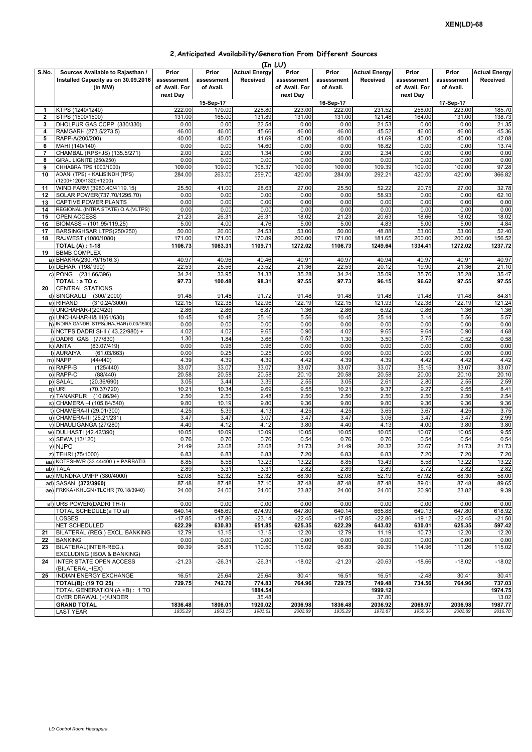## **2.Anticipated Availability/Generation From Different Sources**

|              | (In LU)                                                                            |                                                  |                                  |                                  |                                      |                                  |                                         |                                      |                                  |                                  |  |
|--------------|------------------------------------------------------------------------------------|--------------------------------------------------|----------------------------------|----------------------------------|--------------------------------------|----------------------------------|-----------------------------------------|--------------------------------------|----------------------------------|----------------------------------|--|
| S.No.        | Sources Available to Rajasthan /<br>Installed Capacity as on 30.09.2016<br>(In MW) | Prior<br>assessment<br>of Avail. For<br>next Day | Prior<br>assessment<br>of Avail. | <b>Actual Energy</b><br>Received | Prior<br>assessment<br>of Avail. For | Prior<br>assessment<br>of Avail. | <b>Actual Energy</b><br><b>Received</b> | Prior<br>assessment<br>of Avail. For | Prior<br>assessment<br>of Avail. | <b>Actual Energy</b><br>Received |  |
|              |                                                                                    |                                                  | 15-Sep-17                        |                                  | next Day                             | 16-Sep-17                        |                                         | next Day<br>17-Sep-17                |                                  |                                  |  |
| 1            | KTPS (1240/1240)                                                                   | 222.00                                           | 170.00                           | 228.80                           | 223.00                               | 222.00                           | 231.52                                  | 258.00                               | 223.00                           | 185.70                           |  |
| $\mathbf{2}$ | STPS (1500/1500)                                                                   | 131.00                                           | 165.00                           | 131.89                           | 131.00                               | 131.00                           | 121.48                                  | 164.00                               | 131.00                           | 138.73                           |  |
| 3            | DHOLPUR GAS CCPP (330/330)                                                         | 0.00                                             | 0.00                             | 22.54                            | 0.00                                 | 0.00                             | 21.53                                   | 0.00                                 | 0.00                             | 21.35                            |  |
| 4            | RAMGARH (273.5/273.5)                                                              | 46.00                                            | 46.00                            | 45.66                            | 46.00                                | 46.00                            | 45.52                                   | 46.00                                | 46.00                            | 45.36                            |  |
| 5            | RAPP-A(200/200)                                                                    | 40.00                                            | 40.00                            | 41.69                            | 40.00                                | 40.00                            | 41.69                                   | 40.00                                | 40.00                            | 42.08                            |  |
| 6<br>7       | MAHI (140/140)<br>CHAMBAL (RPS+JS) (135.5/271)                                     | 0.00<br>2.00                                     | 0.00<br>2.00                     | 14.60<br>1.34                    | 0.00<br>0.00                         | 0.00<br>2.00                     | 16.82                                   | 0.00<br>0.00                         | 0.00<br>0.00                     | 13.74<br>0.00                    |  |
| 8            | GIRAL LIGNITE (250/250)                                                            | 0.00                                             | 0.00                             | 0.00                             | 0.00                                 | 0.00                             | 2.34<br>0.00                            | 0.00                                 | 0.00                             | 0.00                             |  |
| 9            | CHHABRA TPS 1000/1000)                                                             | 109.00                                           | 109.00                           | 108.37                           | 109.00                               | 109.00                           | 109.39                                  | 109.00                               | 109.00                           | 97.28                            |  |
| 10           | ADANI (TPS) + KALISINDH (TPS)<br>(1200+1200/1320+1200)                             | 284.00                                           | 263.00                           | 259.70                           | 420.00                               | 284.00                           | 292.21                                  | 420.00                               | 420.00                           | 366.82                           |  |
| 11           | WIND FARM (3980.40/4119.15)                                                        | 25.50                                            | 41.00                            | 28.63                            | 27.00                                | 25.50                            | 52.22                                   | 20.75                                | 27.00                            | 32.78                            |  |
| 12           | SOLAR POWER(737.70/1295.70)                                                        | 0.00                                             | 0.00                             | 0.00                             | 0.00                                 | 0.00                             | 58.93                                   | 0.00                                 | 0.00                             | 62.10                            |  |
| 13           | CAPTIVE POWER PLANTS                                                               | 0.00                                             | 0.00                             | 0.00                             | 0.00                                 | 0.00                             | 0.00                                    | 0.00                                 | 0.00                             | 0.00                             |  |
| 14           | REGIONAL (INTRA STATE) O.A.(VLTPS)<br>OPEN ACCESS                                  | 0.00                                             | 0.00                             | 0.00                             | 0.00<br>18.02                        | 0.00                             | 0.00                                    | 0.00<br>18.66                        | 0.00<br>18.02                    | 0.00<br>18.02                    |  |
| 15<br>16     | BIOMASS - (101.95/119.25)                                                          | 21.23<br>5.00                                    | 26.31<br>4.00                    | 26.31<br>4.76                    | 5.00                                 | 21.23<br>5.00                    | 20.63<br>4.83                           | 5.00                                 | 5.00                             | 4.84                             |  |
| 17           | BARSINGHSAR LTPS(250/250)                                                          | 50.00                                            | 26.00                            | 24.53                            | 53.00                                | 50.00                            | 48.88                                   | 53.00                                | 53.00                            | 52.40                            |  |
| 18           | RAJWEST (1080/1080)                                                                | 171.00                                           | 171.00                           | 170.89                           | 200.00                               | 171.00                           | 181.65                                  | 200.00                               | 200.00                           | 156.52                           |  |
|              | <b>TOTAL (A): 1-18</b>                                                             | 1106.73                                          | 1063.31                          | 1109.71                          | 1272.02                              | 1106.73                          | 1249.64                                 | 1334.41                              | 1272.02                          | 1237.72                          |  |
| 19           | <b>BBMB COMPLEX</b>                                                                |                                                  |                                  |                                  |                                      |                                  |                                         |                                      |                                  |                                  |  |
|              | a) BHAKRA(230.79/1516.3)                                                           | 40.97                                            | 40.96                            | 40.46                            | 40.91                                | 40.97                            | 40.94                                   | 40.97                                | 40.91                            | 40.97                            |  |
|              | b) DEHAR (198/990)<br>c) PONG (231.66/396)                                         | 22.53<br>34.24                                   | 25.56<br>33.95                   | 23.52<br>34.33                   | 21.36<br>35.28                       | 22.53<br>34.24                   | 20.12<br>35.09                          | 19.90<br>35.76                       | 21.36<br>35.28                   | 21.10<br>35.47                   |  |
|              | TOTAL : a TO c                                                                     | 97.73                                            | 100.48                           | 98.31                            | 97.55                                | 97.73                            | 96.15                                   | 96.62                                | 97.55                            | 97.55                            |  |
| 20           | <b>CENTRAL STATIONS</b>                                                            |                                                  |                                  |                                  |                                      |                                  |                                         |                                      |                                  |                                  |  |
|              | d) SINGRAULI<br>(300/2000)                                                         | 91.48                                            | 91.48                            | 91.72                            | 91.48                                | 91.48                            | 91.48                                   | 91.48                                | 91.48                            | 84.81                            |  |
|              | (310.24/3000)<br>e) RIHAND                                                         | 122.15                                           | 122.38                           | 122.96                           | 122.19                               | 122.15                           | 121.93                                  | 122.38                               | 122.19                           | 121.24                           |  |
|              | f) UNCHAHAR-I(20/420)                                                              | 2.86                                             | 2.86                             | 6.87                             | 1.36                                 | 2.86                             | 6.92                                    | 0.86                                 | 1.36                             | 1.36                             |  |
|              | g) UNCHAHAR-II& III(61/630)<br>h) INDIRA GANDHI STPS(JHAJHAR) 0.00/1500)           | 10.45<br>0.00                                    | 10.48<br>0.00                    | 25.16<br>0.00                    | 5.56<br>0.00                         | 10.45<br>0.00                    | 25.14                                   | 3.14<br>0.00                         | 5.56<br>0.00                     | 5.57<br>0.00                     |  |
|              | i) NCTPS DADRI St-II (43.22/980) +                                                 | 4.02                                             | 4.02                             | 9.65                             | 0.90                                 | 4.02                             | 0.00<br>9.65                            | 9.64                                 | 0.90                             | 4.68                             |  |
|              | i) DADRI GAS (77/830)                                                              | 1.30                                             | 1.84                             | 3.66                             | 0.52                                 | 1.30                             | 3.50                                    | 2.75                                 | 0.52                             | 0.58                             |  |
|              | k) ANTA<br>(83.07/419)                                                             | 0.00                                             | 0.96                             | 0.96                             | 0.00                                 | 0.00                             | 0.00                                    | 0.00                                 | 0.00                             | 0.00                             |  |
|              | I) AURAIYA<br>(61.03/663)                                                          | 0.00                                             | 0.25                             | 0.25                             | 0.00                                 | 0.00                             | 0.00                                    | 0.00                                 | 0.00                             | 0.00                             |  |
|              | m) NAPP<br>(44/440)                                                                | 4.39                                             | 4.39                             | 4.39                             | 4.42                                 | 4.39                             | 4.39                                    | 4.42                                 | 4.42                             | 4.42                             |  |
|              | n) RAPP-B<br>(125/440)<br>o) RAPP-C<br>(88/440)                                    | 33.07<br>20.58                                   | 33.07<br>20.58                   | 33.07<br>20.58                   | 33.07<br>20.10                       | 33.07<br>20.58                   | 33.07<br>20.58                          | 35.15<br>20.00                       | 33.07<br>20.10                   | 33.07<br>20.10                   |  |
| p)           | <b>SALAL</b><br>(20.36/690)                                                        | 3.05                                             | 3.44                             | 3.39                             | 2.55                                 | 3.05                             | 2.61                                    | 2.80                                 | 2.55                             | 2.59                             |  |
|              | $q)$ URI<br>(70.37/720)                                                            | 10.21                                            | 10.34                            | 9.69                             | 9.55                                 | 10.21                            | 9.37                                    | 9.27                                 | 9.55                             | 8.41                             |  |
|              | r) TANAKPUR (10.86/94)                                                             | 2.50                                             | 2.50                             | 2.48                             | 2.50                                 | 2.50                             | 2.50                                    | 2.50                                 | 2.50                             | 2.54                             |  |
|              | s) CHAMERA - (105.84/540)                                                          | 9.80                                             | 10.19                            | 9.80                             | 9.36                                 | 9.80                             | 9.80                                    | 9.36                                 | 9.36                             | 9.36                             |  |
|              | t) CHAMERA-II (29.01/300)                                                          | 4.25                                             | 5.39                             | 4.13                             | 4.25                                 | 4.25                             | 3.65                                    | 3.67                                 | 4.25                             | 3.75                             |  |
|              | u) CHAMERA-III (25.21/231)                                                         | 3.47                                             | 3.47                             | 3.07                             | 3.47                                 | 3.47                             | 3.06                                    | 3.47                                 | 3.47                             | 2.99                             |  |
|              | v) DHAULIGANGA (27/280)<br>w) DULHASTI (42.42/390)                                 | 4.40<br>10.05                                    | 4.12<br>10.09                    | 4.12<br>10.09                    | 3.80<br>10.05                        | 4.40<br>10.05                    | 4.13<br>10.05                           | 4.00<br>10.07                        | 3.80<br>10.05                    | 3.80<br>9.55                     |  |
|              | x) SEWA (13/120)                                                                   | 0.76                                             | 0.76                             | 0.76                             | 0.54                                 | 0.76                             | 0.76                                    | 0.54                                 | 0.54                             | 0.54                             |  |
|              | y) NJPC                                                                            | 21.49                                            | 23.08                            | 23.08                            | 21.73                                | 21.49                            | 20.32                                   | 20.67                                | 21.73                            | 21.73                            |  |
|              | z) TEHRI (75/1000)                                                                 | 6.83                                             | 6.83                             | 6.83                             | 7.20                                 | 6.83                             | 6.83                                    | 7.20                                 | 7.20                             | 7.20                             |  |
|              | aa) KOTESHWR (33.44/400) + PARBATI3                                                | 8.85                                             | 8.58                             | 13.23                            | 13.22                                | 8.85                             | 13.43                                   | 8.58                                 | 13.22                            | 13.22                            |  |
|              | ab) TALA                                                                           | 2.89                                             | 3.31                             | 3.31                             | 2.82                                 | 2.89                             | 2.89                                    | 2.72                                 | 2.82                             | 2.82                             |  |
|              | ac) MUNDRA UMPP (380/4000)<br>ad) SASAN (372/3960)                                 | 52.08<br>87.48                                   | 52.32<br>87.48                   | 52.32<br>87.10                   | 68.30<br>87.48                       | 52.08<br>87.48                   | 52.19<br>87.48                          | 67.92<br>89.01                       | 68.30<br>87.48                   | 58.00<br>89.65                   |  |
|              | ae) FRKKA+KHLGN+TLCHR (70.18/3940)                                                 | 24.00                                            | 24.00                            | 24.00                            | 23.82                                | 24.00                            | 24.00                                   | 20.90                                | 23.82                            | 9.39                             |  |
|              | af) URS POWER(DADRI TH-I)                                                          | 0.00                                             | 0.00                             | 0.00                             | 0.00                                 | 0.00                             | 0.00                                    | 0.00                                 | 0.00                             | 0.00                             |  |
|              | TOTAL SCHEDULE(a TO af)                                                            | 640.14                                           | 648.69                           | 674.99                           | 647.80                               | 640.14                           | 665.88                                  | 649.13                               | 647.80                           | 618.92                           |  |
|              | LOSSES                                                                             | $-17.85$                                         | $-17.86$                         | $-23.14$                         | $-22.45$                             | $-17.85$                         | $-22.86$                                | $-19.12$                             | $-22.45$                         | $-21.50$                         |  |
|              | <b>NET SCHEDULED</b>                                                               | 622.29                                           | 630.83                           | 651.85                           | 625.35                               | 622.29                           | 643.02                                  | 630.01                               | 625.35                           | 597.42                           |  |
| 21<br>22     | BILATERAL (REG.) EXCL. BANKING<br><b>BANKING</b>                                   | 12.79<br>0.00                                    | 13.15<br>0.00                    | 13.15                            | 12.20                                | 12.79<br>0.00                    | 11.19<br>0.00                           | 10.73<br>0.00                        | 12.20                            | 12.20                            |  |
| 23           | BILATERAL(INTER-REG.).                                                             | 99.39                                            | 95.81                            | 0.00<br>110.50                   | 0.00<br>115.02                       | 95.83                            | 99.39                                   | 114.96                               | 0.00<br>111.26                   | 0.00<br>115.02                   |  |
| 24           | EXCLUDING (ISOA & BANKING)<br><b>INTER STATE OPEN ACCESS</b>                       | $-21.23$                                         | $-26.31$                         | $-26.31$                         | $-18.02$                             | $-21.23$                         | $-20.63$                                | $-18.66$                             | $-18.02$                         | $-18.02$                         |  |
| 25           | (BILATERAL+IEX)<br>INDIAN ENERGY EXCHANGE                                          |                                                  | 25.64                            | 25.64                            | 30.41                                | 16.51                            | 16.51                                   | $-2.48$                              | 30.41                            | 30.41                            |  |
|              | <b>TOTAL(B): (19 TO 25)</b>                                                        | 16.51<br>729.75                                  | 742.70                           | 774.83                           | 764.96                               | 729.75                           | 749.48                                  | 734.56                               | 764.96                           | 737.03                           |  |
|              | TOTAL GENERATION (A +B): 1 TO                                                      |                                                  |                                  | 1884.54                          |                                      |                                  | 1999.12                                 |                                      |                                  | 1974.75                          |  |
|              | OVER DRAWAL (+)/UNDER                                                              |                                                  |                                  | 35.48                            |                                      |                                  | 37.80                                   |                                      |                                  | 13.02                            |  |
|              | <b>GRAND TOTAL</b>                                                                 | 1836.48                                          | 1806.01                          | 1920.02                          | 2036.98                              | 1836.48                          | 2036.92                                 | 2068.97                              | 2036.98                          | 1987.77                          |  |
|              | <b>LAST YEAR</b>                                                                   | 1935.29                                          | 1961.15                          | 1981.61                          | 2002.89                              | 1935.29                          | 1972.87                                 | 1950.36                              | 2002.89                          | 2016.78                          |  |